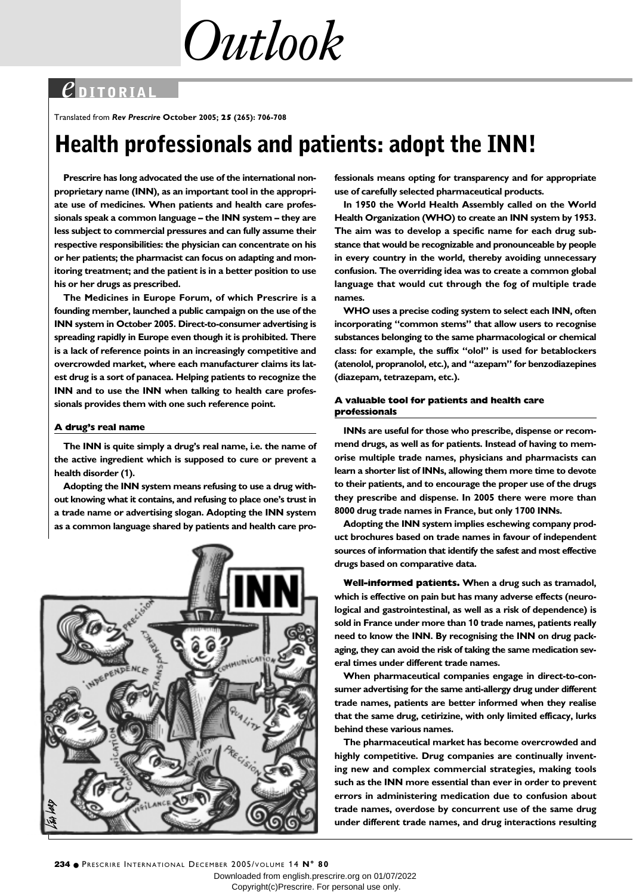*Outlook*

### *e* **DITORIAL**

Translated from *Rev Prescrire* **October 2005; 25 (265): 706-708**

# **Health professionals and patients: adopt the INN!**

**Prescrire has long advocated the use of the international nonproprietary name (INN), as an important tool in the appropriate use of medicines. When patients and health care professionals speak a common language – the INN system – they are less subject to commercial pressures and can fully assume their respective responsibilities: the physician can concentrate on his or her patients; the pharmacist can focus on adapting and monitoring treatment; and the patient is in a better position to use his or her drugs as prescribed.** 

**The Medicines in Europe Forum, of which Prescrire is a founding member, launched a public campaign on the use of the INN system in October 2005. Direct-to-consumer advertising is spreading rapidly in Europe even though it is prohibited. There is a lack of reference points in an increasingly competitive and overcrowded market, where each manufacturer claims its latest drug is a sort of panacea. Helping patients to recognize the INN and to use the INN when talking to health care professionals provides them with one such reference point.** 

#### **A drug's real name**

**The INN is quite simply a drug's real name, i.e. the name of the active ingredient which is supposed to cure or prevent a health disorder (1).** 

**Adopting the INN system means refusing to use a drug without knowing what it contains, and refusing to place one's trust in a trade name or advertising slogan. Adopting the INN system as a common language shared by patients and health care pro-**



**fessionals means opting for transparency and for appropriate use of carefully selected pharmaceutical products.**

**In 1950 the World Health Assembly called on the World Health Organization (WHO) to create an INN system by 1953. The aim was to develop a specific name for each drug substance that would be recognizable and pronounceable by people in every country in the world, thereby avoiding unnecessary confusion. The overriding idea was to create a common global language that would cut through the fog of multiple trade names.**

**WHO uses a precise coding system to select each INN, often incorporating "common stems" that allow users to recognise substances belonging to the same pharmacological or chemical class: for example, the suffix "olol" is used for betablockers (atenolol, propranolol, etc.), and "azepam" for benzodiazepines (diazepam, tetrazepam, etc.).** 

#### **A valuable tool for patients and health care professionals**

**INNs are useful for those who prescribe, dispense or recommend drugs, as well as for patients. Instead of having to memorise multiple trade names, physicians and pharmacists can learn a shorter list of INNs, allowing them more time to devote to their patients, and to encourage the proper use of the drugs they prescribe and dispense. In 2005 there were more than 8000 drug trade names in France, but only 1700 INNs.** 

**Adopting the INN system implies eschewing company product brochures based on trade names in favour of independent sources of information that identify the safest and most effective drugs based on comparative data.** 

**Well-informed patients. When a drug such as tramadol, which is effective on pain but has many adverse effects (neurological and gastrointestinal, as well as a risk of dependence) is sold in France under more than 10 trade names, patients really need to know the INN. By recognising the INN on drug packaging, they can avoid the risk of taking the same medication several times under different trade names.**

**When pharmaceutical companies engage in direct-to-consumer advertising for the same anti-allergy drug under different trade names, patients are better informed when they realise that the same drug, cetirizine, with only limited efficacy, lurks behind these various names.** 

**The pharmaceutical market has become overcrowded and highly competitive. Drug companies are continually inventing new and complex commercial strategies, making tools such as the INN more essential than ever in order to prevent errors in administering medication due to confusion about trade names, overdose by concurrent use of the same drug under different trade names, and drug interactions resulting**